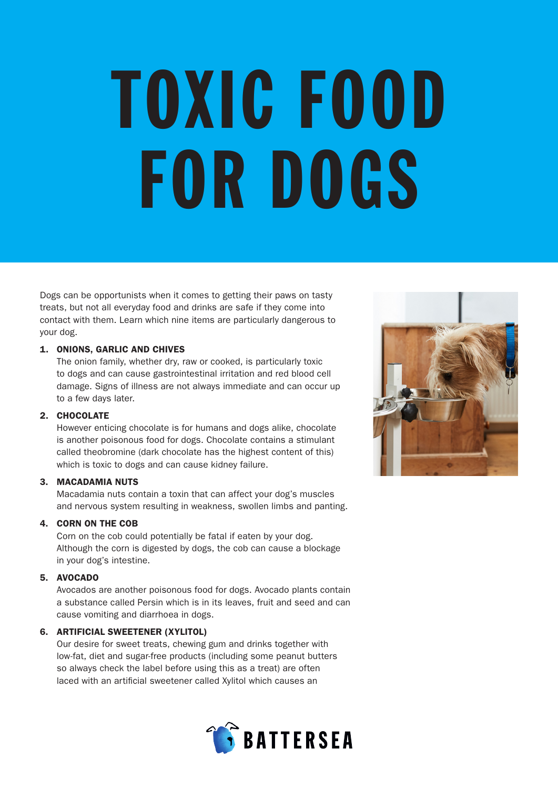# TOXIC FOOD FOR DOGS

Dogs can be opportunists when it comes to getting their paws on tasty treats, but not all everyday food and drinks are safe if they come into contact with them. Learn which nine items are particularly dangerous to your dog.

## 1. ONIONS, GARLIC AND CHIVES

The onion family, whether dry, raw or cooked, is particularly toxic to dogs and can cause gastrointestinal irritation and red blood cell damage. Signs of illness are not always immediate and can occur up to a few days later.

### 2. CHOCOLATE

However enticing chocolate is for humans and dogs alike, chocolate is another poisonous food for dogs. Chocolate contains a stimulant called theobromine (dark chocolate has the highest content of this) which is toxic to dogs and can cause kidney failure.

### 3. MACADAMIA NUTS

Macadamia nuts contain a toxin that can affect your dog's muscles and nervous system resulting in weakness, swollen limbs and panting.

### 4. CORN ON THE COB

Corn on the cob could potentially be fatal if eaten by your dog. Although the corn is digested by dogs, the cob can cause a blockage in your dog's intestine.

### 5. AVOCADO

Avocados are another poisonous food for dogs. Avocado plants contain a substance called Persin which is in its leaves, fruit and seed and can cause vomiting and diarrhoea in dogs.

### 6. ARTIFICIAL SWEETENER (XYLITOL)

Our desire for sweet treats, chewing gum and drinks together with low-fat, diet and sugar-free products (including some peanut butters so always check the label before using this as a treat) are often laced with an artificial sweetener called Xylitol which causes an